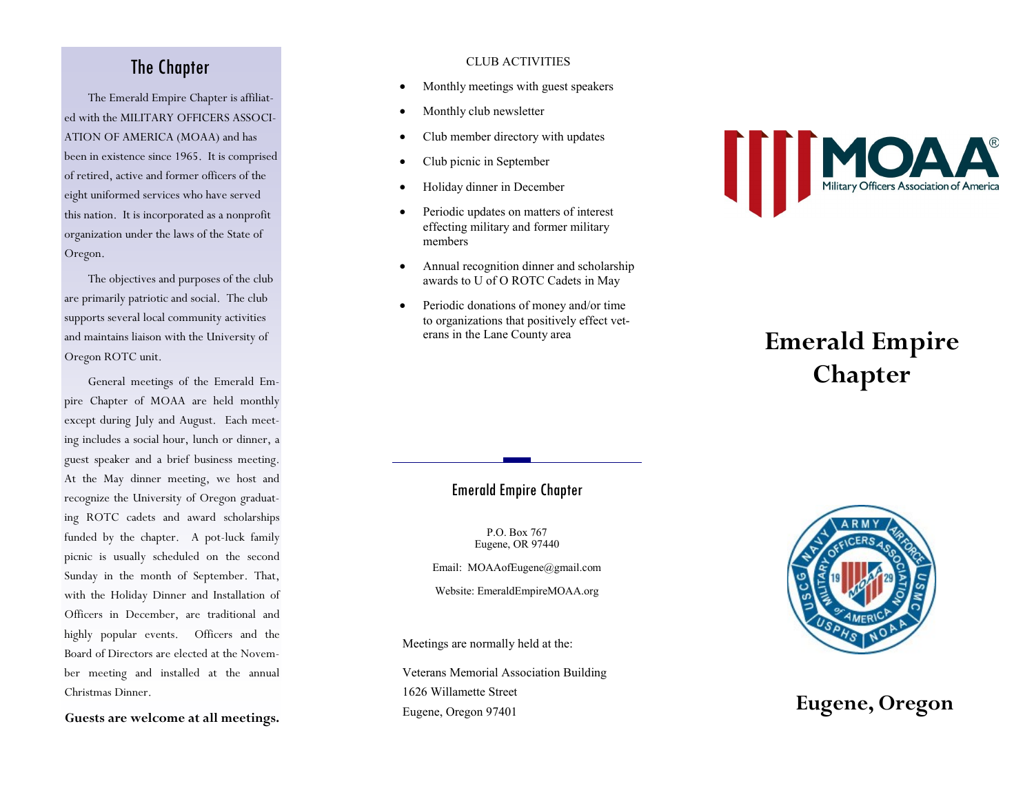## The Chapter

The Emerald Empire Chapter is affiliated with the MILITARY OFFICERS ASSOCI-ATION OF AMERICA (MOAA) and has been in existence since 1965. It is comprised of retired, active and former officers of the eight uniformed services who have served this nation. It is incorporated as a nonprofit organization under the laws of the State of Oregon.

The objectives and purposes of the club are primarily patriotic and social. The club supports several local community activities and maintains liaison with the University of Oregon ROTC unit.

General meetings of the Emerald Empire Chapter of MOAA are held monthly except during July and August. Each meeting includes a social hour, lunch or dinner, a guest speaker and a brief business meeting. At the May dinner meeting, we host and recognize the University of Oregon graduating ROTC cadets and award scholarships funded by the chapter. A pot-luck family picnic is usually scheduled on the second Sunday in the month of September. That, with the Holiday Dinner and Installation of Officers in December, are traditional and highly popular events. Officers and the Board of Directors are elected at the November meeting and installed at the annual Christmas Dinner.

**Guests are welcome at all meetings.**

### CLUB ACTIVITIES

- Monthly meetings with guest speakers
- Monthly club newsletter
- Club member directory with updates
- Club picnic in September
- Holiday dinner in December
- Periodic updates on matters of interest effecting military and former military members
- Annual recognition dinner and scholarship awards to U of O ROTC Cadets in May
- Periodic donations of money and/or time to organizations that positively effect veterans in the Lane County area



# **Emerald Empire Chapter**

### Emerald Empire Chapter

P.O. Box 767 Eugene, OR 97440

Email: MOAAofEugene@gmail.com

Website: EmeraldEmpireMOAA.org

Meetings are normally held at the:

Veterans Memorial Association Building 1626 Willamette Street Eugene, Oregon 97401 **Eugene, Oregon**